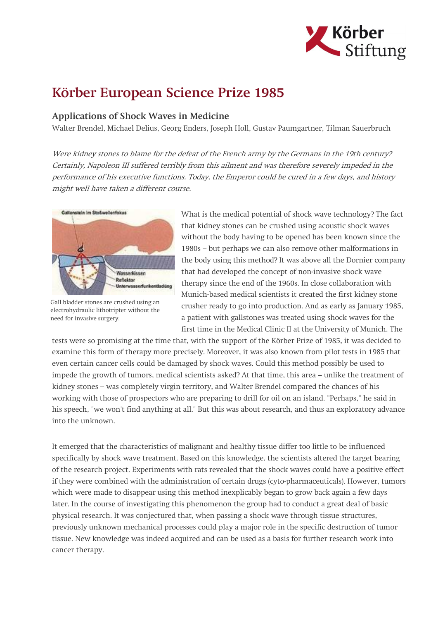

## Körber European Science Prize 1985

## Applications of Shock Waves in Medicine

Walter Brendel, Michael Delius, Georg Enders, Joseph Holl, Gustav Paumgartner, Tilman Sauerbruch

Were kidney stones to blame for the defeat of the French army by the Germans in the 19th century? Certainly, Napoleon III suffered terribly from this ailment and was therefore severely impeded in the performance of his executive functions. Today, the Emperor could be cured in a few days, and history might well have taken a different course.



Gall bladder stones are crushed using an electrohydraulic lithotripter without the need for invasive surgery.

What is the medical potential of shock wave technology? The fact that kidney stones can be crushed using acoustic shock waves without the body having to be opened has been known since the 1980s – but perhaps we can also remove other malformations in the body using this method? It was above all the Dornier company that had developed the concept of non-invasive shock wave therapy since the end of the 1960s. In close collaboration with Munich-based medical scientists it created the first kidney stone crusher ready to go into production. And as early as January 1985, a patient with gallstones was treated using shock waves for the first time in the Medical Clinic II at the University of Munich. The

tests were so promising at the time that, with the support of the Körber Prize of 1985, it was decided to examine this form of therapy more precisely. Moreover, it was also known from pilot tests in 1985 that even certain cancer cells could be damaged by shock waves. Could this method possibly be used to impede the growth of tumors, medical scientists asked? At that time, this area – unlike the treatment of kidney stones – was completely virgin territory, and Walter Brendel compared the chances of his working with those of prospectors who are preparing to drill for oil on an island. "Perhaps," he said in his speech, "we won't find anything at all." But this was about research, and thus an exploratory advance into the unknown.

It emerged that the characteristics of malignant and healthy tissue differ too little to be influenced specifically by shock wave treatment. Based on this knowledge, the scientists altered the target bearing of the research project. Experiments with rats revealed that the shock waves could have a positive effect if they were combined with the administration of certain drugs (cyto-pharmaceuticals). However, tumors which were made to disappear using this method inexplicably began to grow back again a few days later. In the course of investigating this phenomenon the group had to conduct a great deal of basic physical research. It was conjectured that, when passing a shock wave through tissue structures, previously unknown mechanical processes could play a major role in the specific destruction of tumor tissue. New knowledge was indeed acquired and can be used as a basis for further research work into cancer therapy.